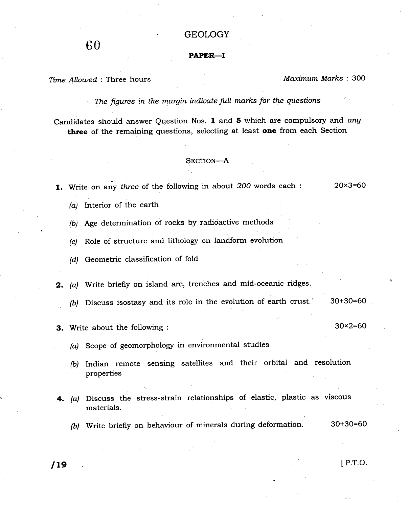# GEOLOGY

## PAPER\_I

## Time Allowed : Three hours Maximum Marks : 300

The figures in the margin indicate full marks for the questions

Candidates should answer Question Nos. 1 and 5 which are compulsory and any three of the remaining questions, selecting at least one from each Section

### SECTION-A

- 1. Write on any three of the following in about  $200$  words each :  $20 \times 3=60$ 
	- (a) Interior of the earth
	- (b) Age determination of rocks by radioactive methods
	- (c) Role of structure and lithology on landform evolution
	- (d) Geometric classification of fold
- 2. (a) Write briefly on island arc, trenches and mid-oceanic ridges.
	- (b) Discuss isostasy and its role in the evolution of earth crust.  $30+30=60$
- **3.** Write about the following :  $30 \times 2 = 60$

- (a) Scope of geomorphology in environmental studies
- (b) Indian remote sensing satellites and their orbital and resolution properties
- 4. (a) Discuss the stress-strain relationships of elastic, plastic as viscous materials.
	- (b) Write briefly on behaviour of minerals during deformation. 30+30=60

and **19** The International Equation of the International Equation of the International Equation of the International Equation of the International Equation of the International Equation of the International Equation of the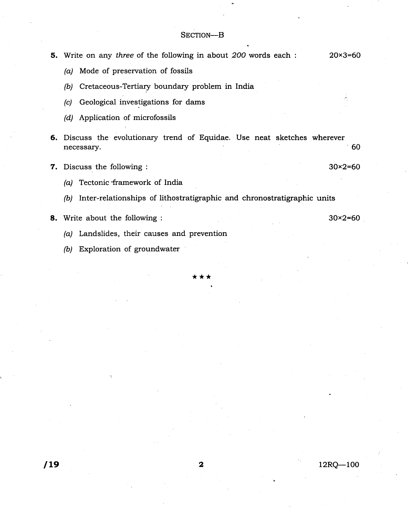- **5.** Write on any three of the following in about 200 words each :  $20 \times 3 = 60$ 
	- (a) Mode of preservation of fossils
	- (b) Cretaceous-Tertiary boundary problem in India
	- $(c)$  Geological investigations for dams
	- (d) Application of microfossils
- 6. Discuss the evolutionary trend of Equidae. Use neat sketches wherever necessary. 60
- **7.** Discuss the following :  $30 \times 2 = 60$ 
	- (a) Tectonic framework of India
	- (b) Inter-relationships of lithostratigraphic and chronostratigraphic units
- **8.** Write about the following :  $30 \times 2 = 60$

- (a) Landslides, their causes and prevention
- (b) Exploration of groundwater

\*\*\*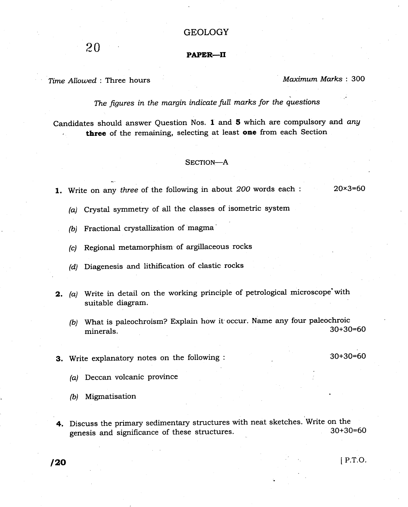# **GEOLOGY**

 $20$  PAPER—II

Time Allowed : Three hours Maximum Marks : 300

The figures in the margin indicate full marks for the questions

Candidates should answer Question Nos. 1 and 5 which are compulsory and any three of the remaining, selecting at least one from each Section

## SECTION-A

1. Write on any three of the following in about 200 words each :  $20 \times 3=60$ 

(a) Crystal symmetry of all the classes of isometric system

 $(b)$  Fractional crystallization of magma

(c) Regional metamorphism of argillaceous rocks

(d) Diagenesis and lithification of clastic rocks

- 2. (a) Write in detail on the working principle of petrological microscope with suitable diagram.
	- (b) What is paleochroism? Explain how it occur. Name any four paleochroic minerals. 30+30=60

3. Write explanatory notes on the following : 30+30=60

(a) Deccan volcanic province

(b) Migmatisation

4. Discuss the primary sedimentary structures with neat sketches. Write on the  $\frac{20+30}{60}$ genesis and significance of these structures.

 $120$  P.T.O.